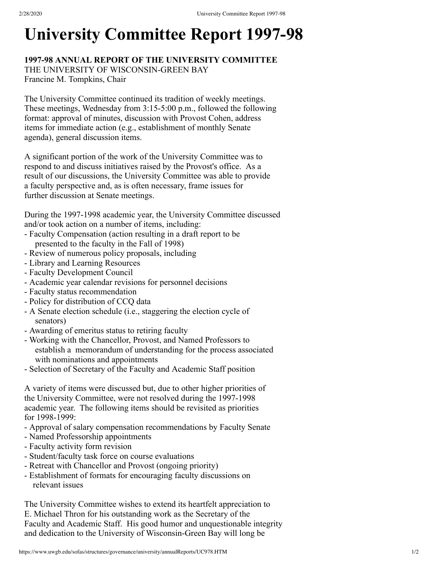## **University Committee Report 1997-98**

## **1997-98 ANNUAL REPORT OF THE UNIVERSITY COMMITTEE** THE UNIVERSITY OF WISCONSIN-GREEN BAY Francine M. Tompkins, Chair

The University Committee continued its tradition of weekly meetings. These meetings, Wednesday from 3:15-5:00 p.m., followed the following format: approval of minutes, discussion with Provost Cohen, address items for immediate action (e.g., establishment of monthly Senate agenda), general discussion items.

A significant portion of the work of the University Committee was to respond to and discuss initiatives raised by the Provost's office. As a result of our discussions, the University Committee was able to provide a faculty perspective and, as is often necessary, frame issues for further discussion at Senate meetings.

During the 1997-1998 academic year, the University Committee discussed and/or took action on a number of items, including:

- Faculty Compensation (action resulting in a draft report to be presented to the faculty in the Fall of 1998)
- Review of numerous policy proposals, including
- Library and Learning Resources
- Faculty Development Council
- Academic year calendar revisions for personnel decisions
- Faculty status recommendation
- Policy for distribution of CCQ data
- A Senate election schedule (i.e., staggering the election cycle of senators)
- Awarding of emeritus status to retiring faculty
- Working with the Chancellor, Provost, and Named Professors to establish a memorandum of understanding for the process associated with nominations and appointments
- Selection of Secretary of the Faculty and Academic Staff position

A variety of items were discussed but, due to other higher priorities of the University Committee, were not resolved during the 1997-1998 academic year. The following items should be revisited as priorities for 1998-1999:

- Approval of salary compensation recommendations by Faculty Senate
- Named Professorship appointments
- Faculty activity form revision
- Student/faculty task force on course evaluations
- Retreat with Chancellor and Provost (ongoing priority)
- Establishment of formats for encouraging faculty discussions on relevant issues

The University Committee wishes to extend its heartfelt appreciation to E. Michael Thron for his outstanding work as the Secretary of the Faculty and Academic Staff. His good humor and unquestionable integrity and dedication to the University of Wisconsin-Green Bay will long be